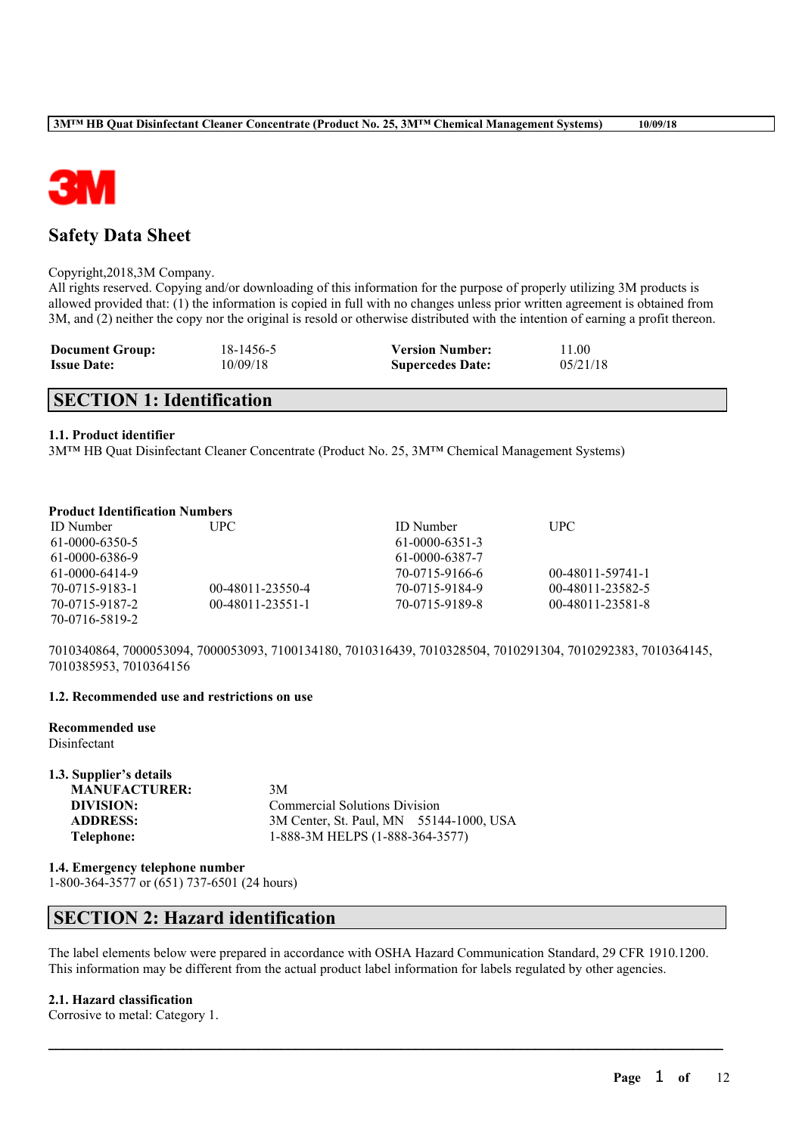

# **Safety Data Sheet**

#### Copyright,2018,3M Company.

All rights reserved. Copying and/or downloading of this information for the purpose of properly utilizing 3M products is allowed provided that: (1) the information is copied in full with no changes unless prior written agreement is obtained from 3M, and (2) neither the copy nor the original is resold or otherwise distributed with the intention of earning a profit thereon.

| <b>Document Group:</b> | 18-1456-5 | <b>Version Number:</b>  | 11.00    |
|------------------------|-----------|-------------------------|----------|
| <b>Issue Date:</b>     | 10/09/18  | <b>Supercedes Date:</b> | 05/21/18 |

# **SECTION 1: Identification**

## **1.1. Product identifier**

3M™ HB Quat Disinfectant Cleaner Concentrate (Product No. 25, 3M™ Chemical Management Systems)

## **Product Identification Numbers**

| <b>ID</b> Number | UPC-               | <b>ID</b> Number | <b>UPC</b>       |
|------------------|--------------------|------------------|------------------|
| 61-0000-6350-5   |                    | $61-0000-6351-3$ |                  |
| 61-0000-6386-9   |                    | 61-0000-6387-7   |                  |
| 61-0000-6414-9   |                    | 70-0715-9166-6   | 00-48011-59741-1 |
| 70-0715-9183-1   | 00-48011-23550-4   | 70-0715-9184-9   | 00-48011-23582-5 |
| 70-0715-9187-2   | $00-48011-23551-1$ | 70-0715-9189-8   | 00-48011-23581-8 |
| 70-0716-5819-2   |                    |                  |                  |

7010340864, 7000053094, 7000053093, 7100134180, 7010316439, 7010328504, 7010291304, 7010292383, 7010364145, 7010385953, 7010364156

# **1.2. Recommended use and restrictions on use**

**Recommended use**

**1.3. Supplier's details**

Disinfectant

| 1.3. Supplier's details |                                         |
|-------------------------|-----------------------------------------|
| <b>MANUFACTURER:</b>    | 3M                                      |
| DIVISION:               | <b>Commercial Solutions Division</b>    |
| <b>ADDRESS:</b>         | 3M Center, St. Paul, MN 55144-1000, USA |
| Telephone:              | 1-888-3M HELPS (1-888-364-3577)         |

#### **1.4. Emergency telephone number**

1-800-364-3577 or (651) 737-6501 (24 hours)

# **SECTION 2: Hazard identification**

The label elements below were prepared in accordance with OSHA Hazard Communication Standard, 29 CFR 1910.1200. This information may be different from the actual product label information for labels regulated by other agencies.

 $\mathcal{L}_\mathcal{L} = \mathcal{L}_\mathcal{L} = \mathcal{L}_\mathcal{L} = \mathcal{L}_\mathcal{L} = \mathcal{L}_\mathcal{L} = \mathcal{L}_\mathcal{L} = \mathcal{L}_\mathcal{L} = \mathcal{L}_\mathcal{L} = \mathcal{L}_\mathcal{L} = \mathcal{L}_\mathcal{L} = \mathcal{L}_\mathcal{L} = \mathcal{L}_\mathcal{L} = \mathcal{L}_\mathcal{L} = \mathcal{L}_\mathcal{L} = \mathcal{L}_\mathcal{L} = \mathcal{L}_\mathcal{L} = \mathcal{L}_\mathcal{L}$ 

# **2.1. Hazard classification**

Corrosive to metal: Category 1.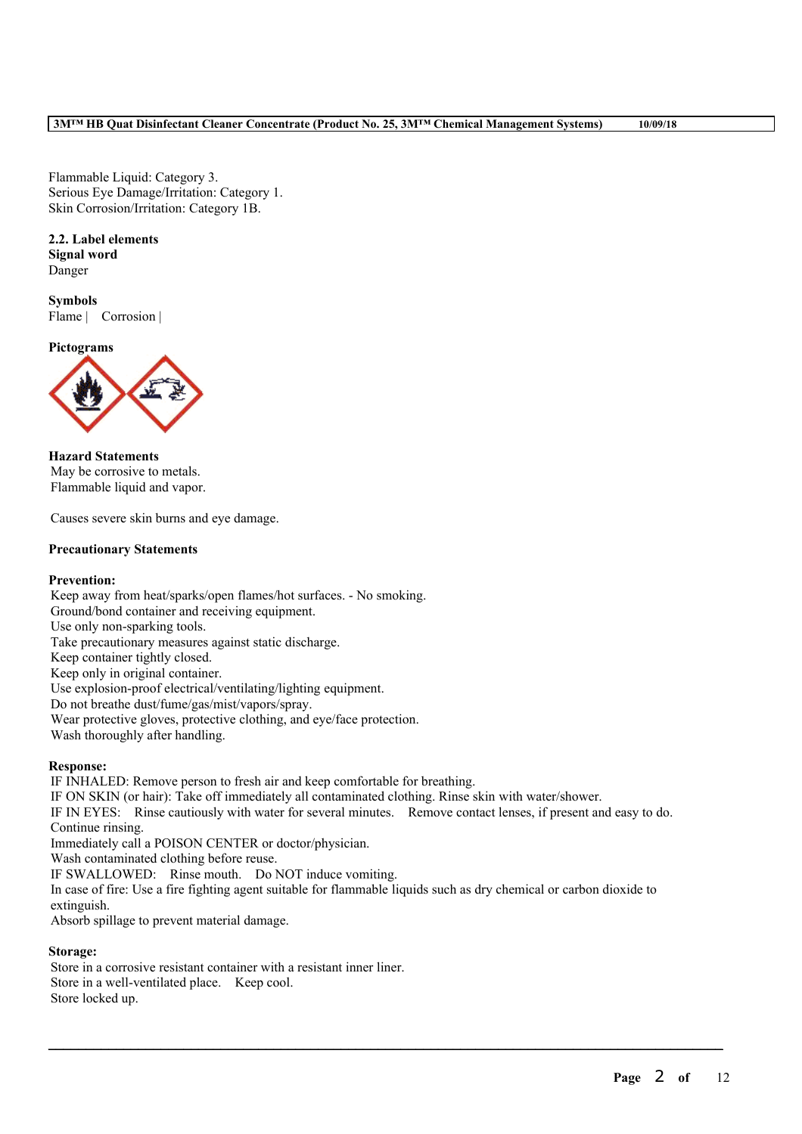Flammable Liquid: Category 3. Serious Eye Damage/Irritation: Category 1. Skin Corrosion/Irritation: Category 1B.

# **2.2. Label elements**

**Signal word** Danger

**Symbols** Flame | Corrosion |

**Pictograms**



**Hazard Statements** May be corrosive to metals. Flammable liquid and vapor.

Causes severe skin burns and eye damage.

# **Precautionary Statements**

## **Prevention:**

Keep away from heat/sparks/open flames/hot surfaces. - No smoking. Ground/bond container and receiving equipment. Use only non-sparking tools. Take precautionary measures against static discharge. Keep container tightly closed. Keep only in original container. Use explosion-proof electrical/ventilating/lighting equipment. Do not breathe dust/fume/gas/mist/vapors/spray. Wear protective gloves, protective clothing, and eye/face protection. Wash thoroughly after handling.

# **Response:**

IF INHALED: Remove person to fresh air and keep comfortable for breathing. IF ON SKIN (or hair): Take off immediately all contaminated clothing. Rinse skin with water/shower. IF IN EYES: Rinse cautiously with water for several minutes. Remove contact lenses, if present and easy to do. Continue rinsing. Immediately call a POISON CENTER or doctor/physician. Wash contaminated clothing before reuse. IF SWALLOWED: Rinse mouth. Do NOT induce vomiting. In case of fire: Use a fire fighting agent suitable for flammable liquids such as dry chemical or carbon dioxide to extinguish.

 $\mathcal{L}_\mathcal{L} = \mathcal{L}_\mathcal{L} = \mathcal{L}_\mathcal{L} = \mathcal{L}_\mathcal{L} = \mathcal{L}_\mathcal{L} = \mathcal{L}_\mathcal{L} = \mathcal{L}_\mathcal{L} = \mathcal{L}_\mathcal{L} = \mathcal{L}_\mathcal{L} = \mathcal{L}_\mathcal{L} = \mathcal{L}_\mathcal{L} = \mathcal{L}_\mathcal{L} = \mathcal{L}_\mathcal{L} = \mathcal{L}_\mathcal{L} = \mathcal{L}_\mathcal{L} = \mathcal{L}_\mathcal{L} = \mathcal{L}_\mathcal{L}$ 

Absorb spillage to prevent material damage.

# **Storage:**

Store in a corrosive resistant container with a resistant inner liner. Store in a well-ventilated place. Keep cool. Store locked up.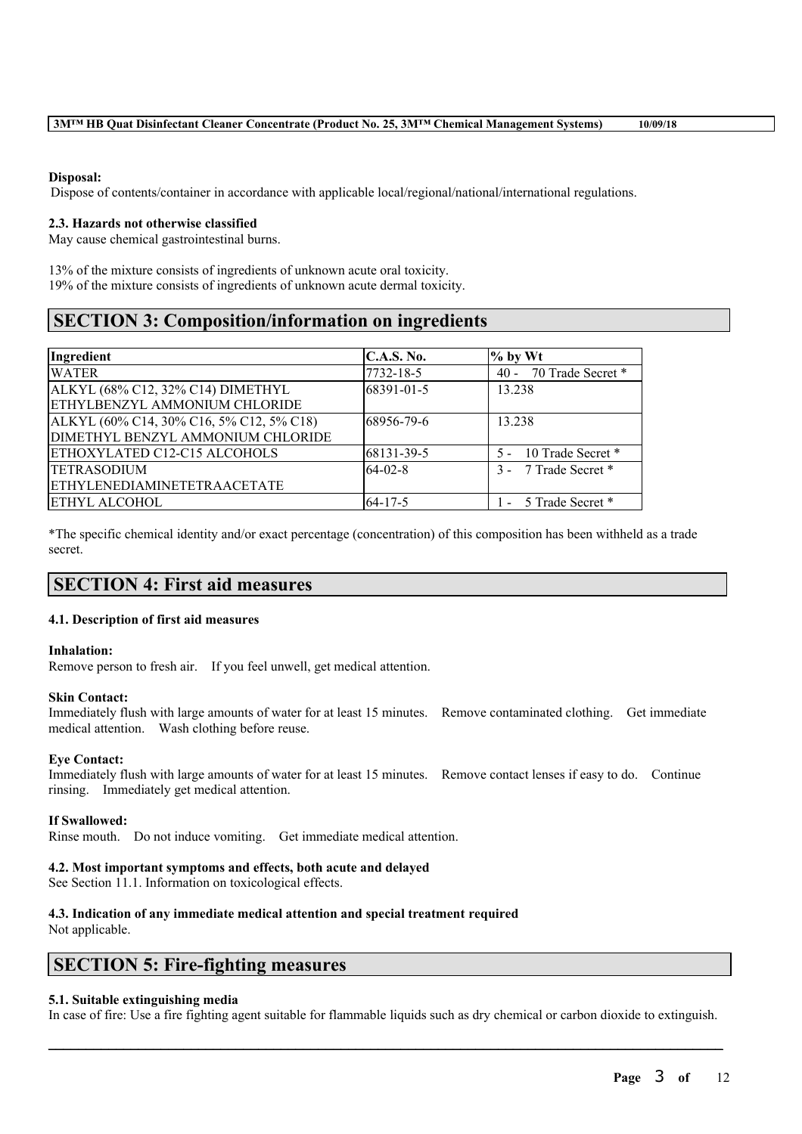#### **Disposal:**

Dispose of contents/container in accordance with applicable local/regional/national/international regulations.

#### **2.3. Hazards not otherwise classified**

May cause chemical gastrointestinal burns.

13% of the mixture consists of ingredients of unknown acute oral toxicity. 19% of the mixture consists of ingredients of unknown acute dermal toxicity.

# **SECTION 3: Composition/information on ingredients**

| Ingredient                               | C.A.S. No.    | $%$ by Wt              |
|------------------------------------------|---------------|------------------------|
| <b>WATER</b>                             | 7732-18-5     | 40 - 70 Trade Secret * |
| ALKYL (68% C12, 32% C14) DIMETHYL        | 68391-01-5    | 13.238                 |
| ETHYLBENZYL AMMONIUM CHLORIDE            |               |                        |
| ALKYL (60% C14, 30% C16, 5% C12, 5% C18) | 68956-79-6    | 13 238                 |
| DIMETHYL BENZYL AMMONIUM CHLORIDE        |               |                        |
| <b>ETHOXYLATED C12-C15 ALCOHOLS</b>      | 68131-39-5    | 5 - 10 Trade Secret *  |
| <b>TETRASODIUM</b>                       | $64-02-8$     | 3 - 7 Trade Secret *   |
| <b>ETHYLENEDIAMINETETRAACETATE</b>       |               |                        |
| <b>ETHYL ALCOHOL</b>                     | $64 - 17 - 5$ | - 5 Trade Secret *     |

\*The specific chemical identity and/or exact percentage (concentration) of this composition has been withheld as a trade secret.

# **SECTION 4: First aid measures**

#### **4.1. Description of first aid measures**

#### **Inhalation:**

Remove person to fresh air. If you feel unwell, get medical attention.

#### **Skin Contact:**

Immediately flush with large amounts of water for at least 15 minutes. Remove contaminated clothing. Get immediate medical attention. Wash clothing before reuse.

#### **Eye Contact:**

Immediately flush with large amounts of water for at least 15 minutes. Remove contact lenses if easy to do. Continue rinsing. Immediately get medical attention.

**If Swallowed:**

Rinse mouth. Do not induce vomiting. Get immediate medical attention.

#### **4.2. Most important symptoms and effects, both acute and delayed**

See Section 11.1. Information on toxicological effects.

# **4.3. Indication of any immediate medical attention and special treatment required**

Not applicable.

# **SECTION 5: Fire-fighting measures**

#### **5.1. Suitable extinguishing media**

In case of fire: Use a fire fighting agent suitable for flammable liquids such as dry chemical or carbon dioxide to extinguish.

 $\mathcal{L}_\mathcal{L} = \mathcal{L}_\mathcal{L} = \mathcal{L}_\mathcal{L} = \mathcal{L}_\mathcal{L} = \mathcal{L}_\mathcal{L} = \mathcal{L}_\mathcal{L} = \mathcal{L}_\mathcal{L} = \mathcal{L}_\mathcal{L} = \mathcal{L}_\mathcal{L} = \mathcal{L}_\mathcal{L} = \mathcal{L}_\mathcal{L} = \mathcal{L}_\mathcal{L} = \mathcal{L}_\mathcal{L} = \mathcal{L}_\mathcal{L} = \mathcal{L}_\mathcal{L} = \mathcal{L}_\mathcal{L} = \mathcal{L}_\mathcal{L}$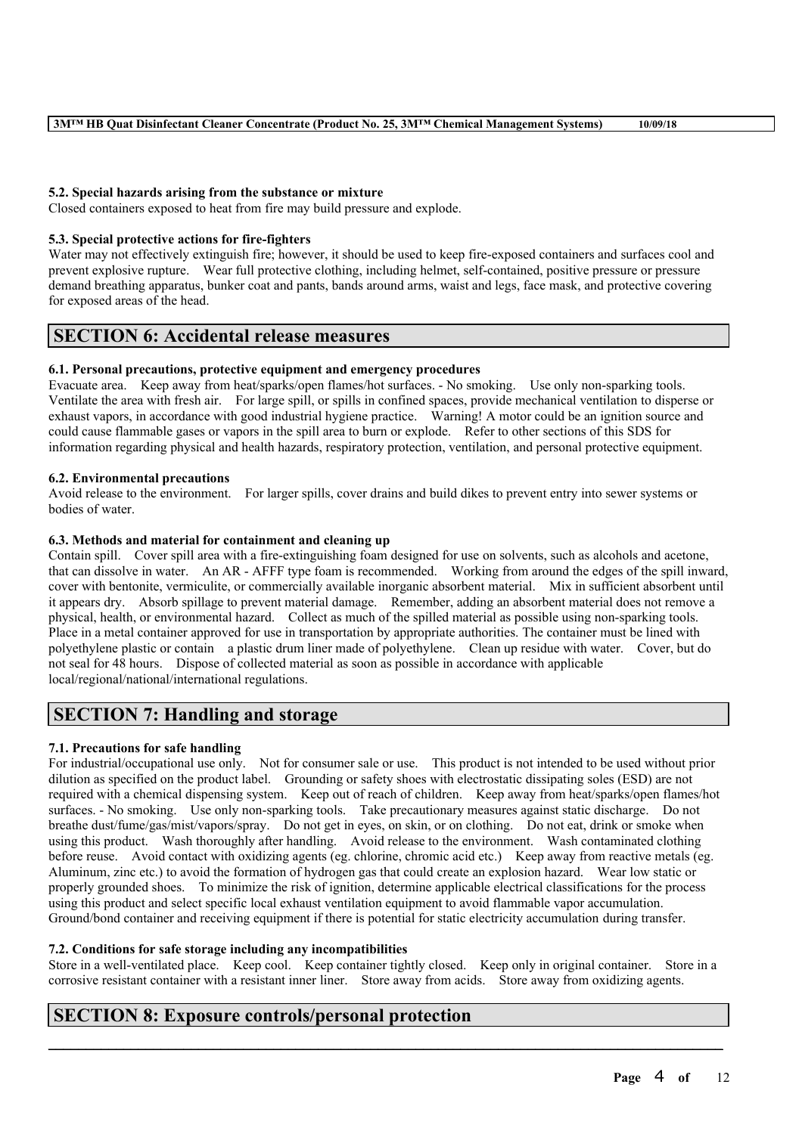# **5.2. Special hazards arising from the substance or mixture**

Closed containers exposed to heat from fire may build pressure and explode.

#### **5.3. Special protective actions for fire-fighters**

Water may not effectively extinguish fire; however, it should be used to keep fire-exposed containers and surfaces cool and prevent explosive rupture. Wear full protective clothing, including helmet, self-contained, positive pressure or pressure demand breathing apparatus, bunker coat and pants, bands around arms, waist and legs, face mask, and protective covering for exposed areas of the head.

# **SECTION 6: Accidental release measures**

## **6.1. Personal precautions, protective equipment and emergency procedures**

Evacuate area. Keep away from heat/sparks/open flames/hot surfaces. - No smoking. Use only non-sparking tools. Ventilate the area with fresh air. For large spill, or spills in confined spaces, provide mechanical ventilation to disperse or exhaust vapors, in accordance with good industrial hygiene practice. Warning! A motor could be an ignition source and could cause flammable gases or vapors in the spill area to burn or explode. Refer to other sections of this SDS for information regarding physical and health hazards, respiratory protection, ventilation, and personal protective equipment.

#### **6.2. Environmental precautions**

Avoid release to the environment. For larger spills, cover drains and build dikes to prevent entry into sewer systems or bodies of water.

## **6.3. Methods and material for containment and cleaning up**

Contain spill. Cover spill area with a fire-extinguishing foam designed for use on solvents, such as alcohols and acetone, that can dissolve in water. An AR - AFFF type foam is recommended. Working from around the edges of the spill inward, cover with bentonite, vermiculite, or commercially available inorganic absorbent material. Mix in sufficient absorbent until it appears dry. Absorb spillage to prevent material damage. Remember, adding an absorbent material does not remove a physical, health, or environmental hazard. Collect as much of the spilled material as possible using non-sparking tools. Place in a metal container approved for use in transportation by appropriate authorities. The container must be lined with polyethylene plastic or contain a plastic drum liner made of polyethylene. Clean up residue with water. Cover, but do not seal for 48 hours. Dispose of collected material as soon as possible in accordance with applicable local/regional/national/international regulations.

# **SECTION 7: Handling and storage**

## **7.1. Precautions for safe handling**

For industrial/occupational use only. Not for consumer sale or use. This product is not intended to be used without prior dilution as specified on the product label. Grounding or safety shoes with electrostatic dissipating soles (ESD) are not required with a chemical dispensing system. Keep out of reach of children. Keep away from heat/sparks/open flames/hot surfaces. - No smoking. Use only non-sparking tools. Take precautionary measures against static discharge. Do not breathe dust/fume/gas/mist/vapors/spray. Do not get in eyes, on skin, or on clothing. Do not eat, drink or smoke when using this product. Wash thoroughly after handling. Avoid release to the environment. Wash contaminated clothing before reuse. Avoid contact with oxidizing agents (eg. chlorine, chromic acid etc.) Keep away from reactive metals (eg. Aluminum, zinc etc.) to avoid the formation of hydrogen gas that could create an explosion hazard. Wear low static or properly grounded shoes. To minimize the risk of ignition, determine applicable electrical classifications for the process using this product and select specific local exhaust ventilation equipment to avoid flammable vapor accumulation. Ground/bond container and receiving equipment if there is potential for static electricity accumulation during transfer.

## **7.2. Conditions for safe storage including any incompatibilities**

Store in a well-ventilated place. Keep cool. Keep container tightly closed. Keep only in original container. Store in a corrosive resistant container with a resistant inner liner. Store away from acids. Store away from oxidizing agents.

 $\mathcal{L}_\mathcal{L} = \mathcal{L}_\mathcal{L} = \mathcal{L}_\mathcal{L} = \mathcal{L}_\mathcal{L} = \mathcal{L}_\mathcal{L} = \mathcal{L}_\mathcal{L} = \mathcal{L}_\mathcal{L} = \mathcal{L}_\mathcal{L} = \mathcal{L}_\mathcal{L} = \mathcal{L}_\mathcal{L} = \mathcal{L}_\mathcal{L} = \mathcal{L}_\mathcal{L} = \mathcal{L}_\mathcal{L} = \mathcal{L}_\mathcal{L} = \mathcal{L}_\mathcal{L} = \mathcal{L}_\mathcal{L} = \mathcal{L}_\mathcal{L}$ 

# **SECTION 8: Exposure controls/personal protection**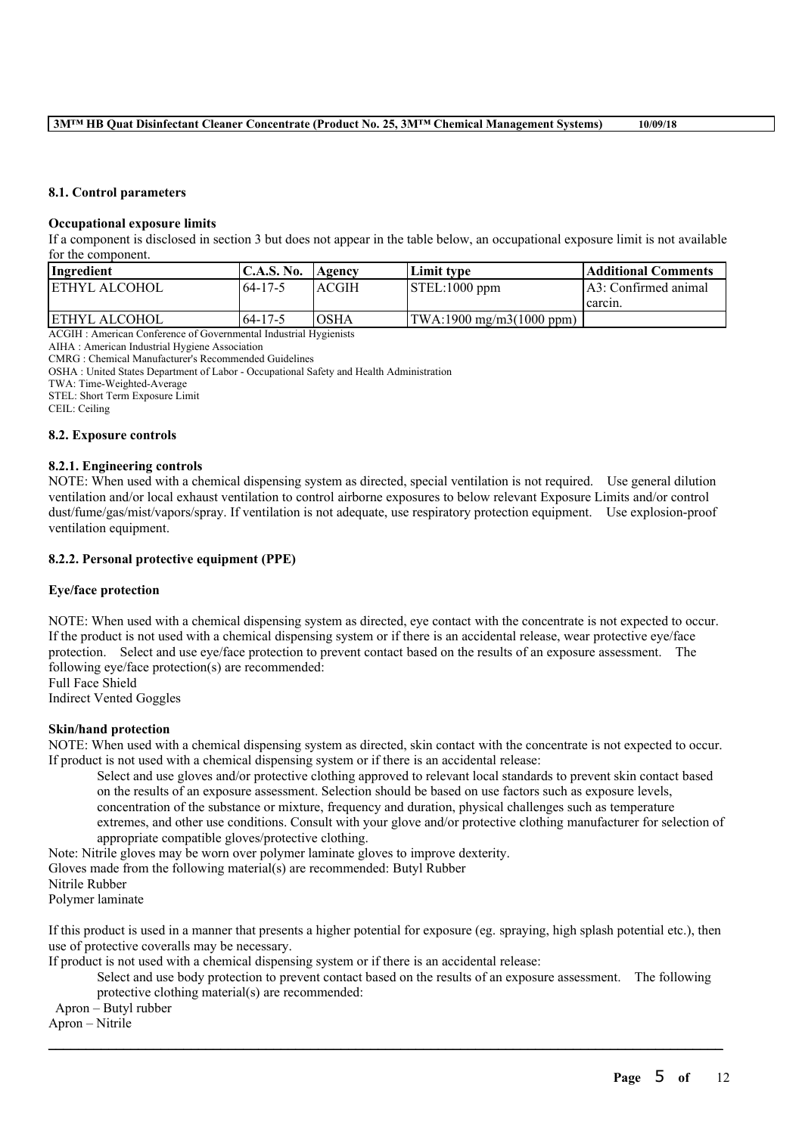#### **8.1. Control parameters**

#### **Occupational exposure limits**

If a component is disclosed in section 3 but does not appear in the table below, an occupational exposure limit is not available for the component.

| Ingredient            | C.A.S. No.    | <b>Agency</b> | Limit tvpe                | Additional Comments   |
|-----------------------|---------------|---------------|---------------------------|-----------------------|
| <b>JETHYL ALCOHOL</b> | 64-17-5       | <b>ACGIH</b>  | $\vert$ STEL:1000 ppm     | LA3: Confirmed animal |
|                       |               |               |                           | I carcin.             |
| <b>IETHYL ALCOHOL</b> | $64 - 17 - 5$ | <b>OSHA</b>   | (TWA:1900 mg/m3(1000 ppm) |                       |

ACGIH : American Conference of Governmental Industrial Hygienists

AIHA : American Industrial Hygiene Association

CMRG : Chemical Manufacturer's Recommended Guidelines

OSHA : United States Department of Labor - Occupational Safety and Health Administration

TWA: Time-Weighted-Average

STEL: Short Term Exposure Limit

CEIL: Ceiling

## **8.2. Exposure controls**

#### **8.2.1. Engineering controls**

NOTE: When used with a chemical dispensing system as directed, special ventilation is not required. Use general dilution ventilation and/or local exhaust ventilation to control airborne exposures to below relevant Exposure Limits and/or control dust/fume/gas/mist/vapors/spray. If ventilation is not adequate, use respiratory protection equipment. Use explosion-proof ventilation equipment.

#### **8.2.2. Personal protective equipment (PPE)**

#### **Eye/face protection**

NOTE: When used with a chemical dispensing system as directed, eye contact with the concentrate is not expected to occur. If the product is not used with a chemical dispensing system or if there is an accidental release, wear protective eye/face protection. Select and use eye/face protection to prevent contact based on the results of an exposure assessment. The following eye/face protection(s) are recommended: Full Face Shield

Indirect Vented Goggles

#### **Skin/hand protection**

NOTE: When used with a chemical dispensing system as directed, skin contact with the concentrate is not expected to occur. If product is not used with a chemical dispensing system or if there is an accidental release:

Select and use gloves and/or protective clothing approved to relevant local standards to prevent skin contact based on the results of an exposure assessment. Selection should be based on use factors such as exposure levels, concentration of the substance or mixture, frequency and duration, physical challenges such as temperature extremes, and other use conditions. Consult with your glove and/or protective clothing manufacturer for selection of appropriate compatible gloves/protective clothing.

Note: Nitrile gloves may be worn over polymer laminate gloves to improve dexterity.

Gloves made from the following material(s) are recommended: Butyl Rubber

Nitrile Rubber

Polymer laminate

If this product is used in a manner that presents a higher potential for exposure (eg. spraying, high splash potential etc.), then use of protective coveralls may be necessary.

 $\mathcal{L}_\mathcal{L} = \mathcal{L}_\mathcal{L} = \mathcal{L}_\mathcal{L} = \mathcal{L}_\mathcal{L} = \mathcal{L}_\mathcal{L} = \mathcal{L}_\mathcal{L} = \mathcal{L}_\mathcal{L} = \mathcal{L}_\mathcal{L} = \mathcal{L}_\mathcal{L} = \mathcal{L}_\mathcal{L} = \mathcal{L}_\mathcal{L} = \mathcal{L}_\mathcal{L} = \mathcal{L}_\mathcal{L} = \mathcal{L}_\mathcal{L} = \mathcal{L}_\mathcal{L} = \mathcal{L}_\mathcal{L} = \mathcal{L}_\mathcal{L}$ 

If product is not used with a chemical dispensing system or if there is an accidental release:

Select and use body protection to prevent contact based on the results of an exposure assessment. The following protective clothing material(s) are recommended:

Apron – Butyl rubber

Apron – Nitrile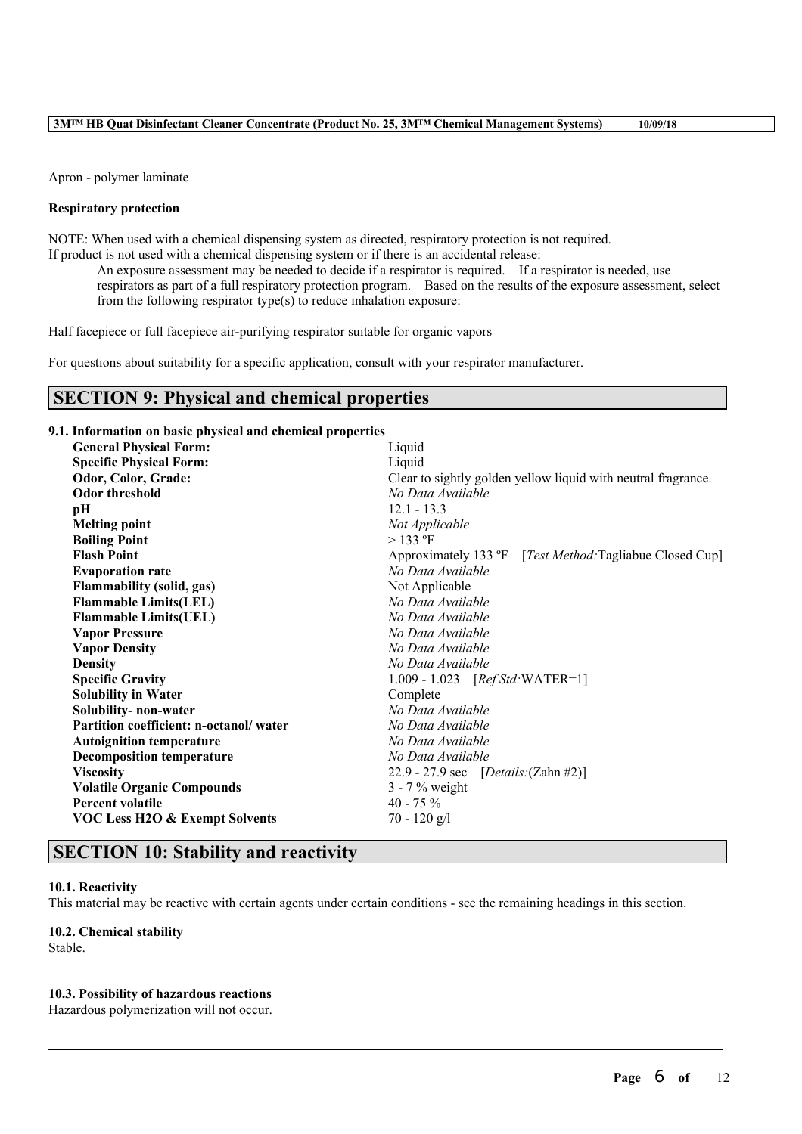Apron - polymer laminate

#### **Respiratory protection**

NOTE: When used with a chemical dispensing system as directed, respiratory protection is not required. If product is not used with a chemical dispensing system or if there is an accidental release:

An exposure assessment may be needed to decide if a respirator is required. If a respirator is needed, use respirators as part of a full respiratory protection program. Based on the results of the exposure assessment, select from the following respirator type(s) to reduce inhalation exposure:

Half facepiece or full facepiece air-purifying respirator suitable for organic vapors

For questions about suitability for a specific application, consult with your respirator manufacturer.

# **SECTION 9: Physical and chemical properties**

# **9.1. Information on basic physical and chemical properties**

| <b>General Physical Form:</b>             | Liquid                                                        |  |  |  |
|-------------------------------------------|---------------------------------------------------------------|--|--|--|
| <b>Specific Physical Form:</b>            | Liquid                                                        |  |  |  |
| Odor, Color, Grade:                       | Clear to sightly golden yellow liquid with neutral fragrance. |  |  |  |
| <b>Odor threshold</b>                     | No Data Available                                             |  |  |  |
| pН                                        | $12.1 - 13.3$                                                 |  |  |  |
| <b>Melting point</b>                      | Not Applicable                                                |  |  |  |
| <b>Boiling Point</b>                      | $>$ 133 °F                                                    |  |  |  |
| <b>Flash Point</b>                        | Approximately 133 °F [Test Method: Tagliabue Closed Cup]      |  |  |  |
| <b>Evaporation rate</b>                   | No Data Available                                             |  |  |  |
| <b>Flammability (solid, gas)</b>          | Not Applicable                                                |  |  |  |
| <b>Flammable Limits(LEL)</b>              | No Data Available                                             |  |  |  |
| <b>Flammable Limits(UEL)</b>              | No Data Available                                             |  |  |  |
| <b>Vapor Pressure</b>                     | No Data Available                                             |  |  |  |
| <b>Vapor Density</b>                      | No Data Available                                             |  |  |  |
| <b>Density</b>                            | No Data Available                                             |  |  |  |
| <b>Specific Gravity</b>                   | $1.009 - 1.023$ [ <i>Ref Std</i> : WATER=1]                   |  |  |  |
| <b>Solubility in Water</b>                | Complete                                                      |  |  |  |
| Solubility- non-water                     | No Data Available                                             |  |  |  |
| Partition coefficient: n-octanol/water    | No Data Available                                             |  |  |  |
| <b>Autoignition temperature</b>           | No Data Available                                             |  |  |  |
| <b>Decomposition temperature</b>          | No Data Available                                             |  |  |  |
| <b>Viscosity</b>                          | 22.9 - 27.9 sec $[Details:(Zahn #2)]$                         |  |  |  |
| <b>Volatile Organic Compounds</b>         | $3 - 7\%$ weight                                              |  |  |  |
| <b>Percent volatile</b>                   | 40 - 75 $%$                                                   |  |  |  |
| <b>VOC Less H2O &amp; Exempt Solvents</b> | $70 - 120$ g/l                                                |  |  |  |
|                                           |                                                               |  |  |  |

# **SECTION 10: Stability and reactivity**

#### **10.1. Reactivity**

This material may be reactive with certain agents under certain conditions - see the remaining headings in this section.

 $\mathcal{L}_\mathcal{L} = \mathcal{L}_\mathcal{L} = \mathcal{L}_\mathcal{L} = \mathcal{L}_\mathcal{L} = \mathcal{L}_\mathcal{L} = \mathcal{L}_\mathcal{L} = \mathcal{L}_\mathcal{L} = \mathcal{L}_\mathcal{L} = \mathcal{L}_\mathcal{L} = \mathcal{L}_\mathcal{L} = \mathcal{L}_\mathcal{L} = \mathcal{L}_\mathcal{L} = \mathcal{L}_\mathcal{L} = \mathcal{L}_\mathcal{L} = \mathcal{L}_\mathcal{L} = \mathcal{L}_\mathcal{L} = \mathcal{L}_\mathcal{L}$ 

## **10.2. Chemical stability**

Stable.

#### **10.3. Possibility of hazardous reactions**

Hazardous polymerization will not occur.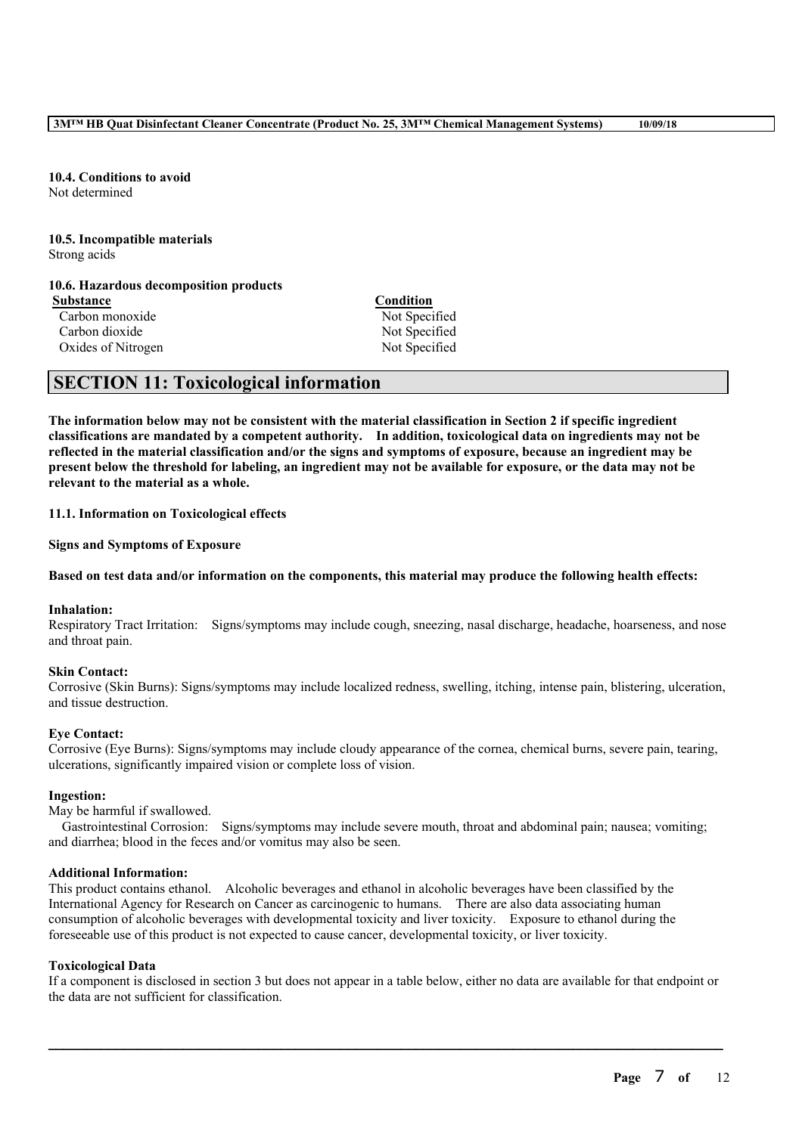#### **10.4. Conditions to avoid** Not determined

#### **10.5. Incompatible materials** Strong acids

## **10.6. Hazardous decomposition products**

**Substance Condition** Carbon monoxide Not Specified Carbon dioxide Not Specified Oxides of Nitrogen Not Specified

# **SECTION 11: Toxicological information**

The information below may not be consistent with the material classification in Section 2 if specific ingredient **classifications are mandated by a competent authority. In addition, toxicological data on ingredients may not be** reflected in the material classification and/or the signs and symptoms of exposure, because an ingredient may be present below the threshold for labeling, an ingredient may not be available for exposure, or the data may not be **relevant to the material as a whole.**

**11.1. Information on Toxicological effects**

**Signs and Symptoms of Exposure**

## Based on test data and/or information on the components, this material may produce the following health effects:

## **Inhalation:**

Respiratory Tract Irritation: Signs/symptoms may include cough, sneezing, nasal discharge, headache, hoarseness, and nose and throat pain.

# **Skin Contact:**

Corrosive (Skin Burns): Signs/symptoms may include localized redness, swelling, itching, intense pain, blistering, ulceration, and tissue destruction.

# **Eye Contact:**

Corrosive (Eye Burns): Signs/symptoms may include cloudy appearance of the cornea, chemical burns, severe pain, tearing, ulcerations, significantly impaired vision or complete loss of vision.

## **Ingestion:**

May be harmful if swallowed.

Gastrointestinal Corrosion: Signs/symptoms may include severe mouth, throat and abdominal pain; nausea; vomiting; and diarrhea; blood in the feces and/or vomitus may also be seen.

## **Additional Information:**

This product contains ethanol. Alcoholic beverages and ethanol in alcoholic beverages have been classified by the International Agency for Research on Cancer as carcinogenic to humans. There are also data associating human consumption of alcoholic beverages with developmental toxicity and liver toxicity. Exposure to ethanol during the foreseeable use of this product is not expected to cause cancer, developmental toxicity, or liver toxicity.

## **Toxicological Data**

If a component is disclosed in section 3 but does not appear in a table below, either no data are available for that endpoint or the data are not sufficient for classification.

 $\mathcal{L}_\mathcal{L} = \mathcal{L}_\mathcal{L} = \mathcal{L}_\mathcal{L} = \mathcal{L}_\mathcal{L} = \mathcal{L}_\mathcal{L} = \mathcal{L}_\mathcal{L} = \mathcal{L}_\mathcal{L} = \mathcal{L}_\mathcal{L} = \mathcal{L}_\mathcal{L} = \mathcal{L}_\mathcal{L} = \mathcal{L}_\mathcal{L} = \mathcal{L}_\mathcal{L} = \mathcal{L}_\mathcal{L} = \mathcal{L}_\mathcal{L} = \mathcal{L}_\mathcal{L} = \mathcal{L}_\mathcal{L} = \mathcal{L}_\mathcal{L}$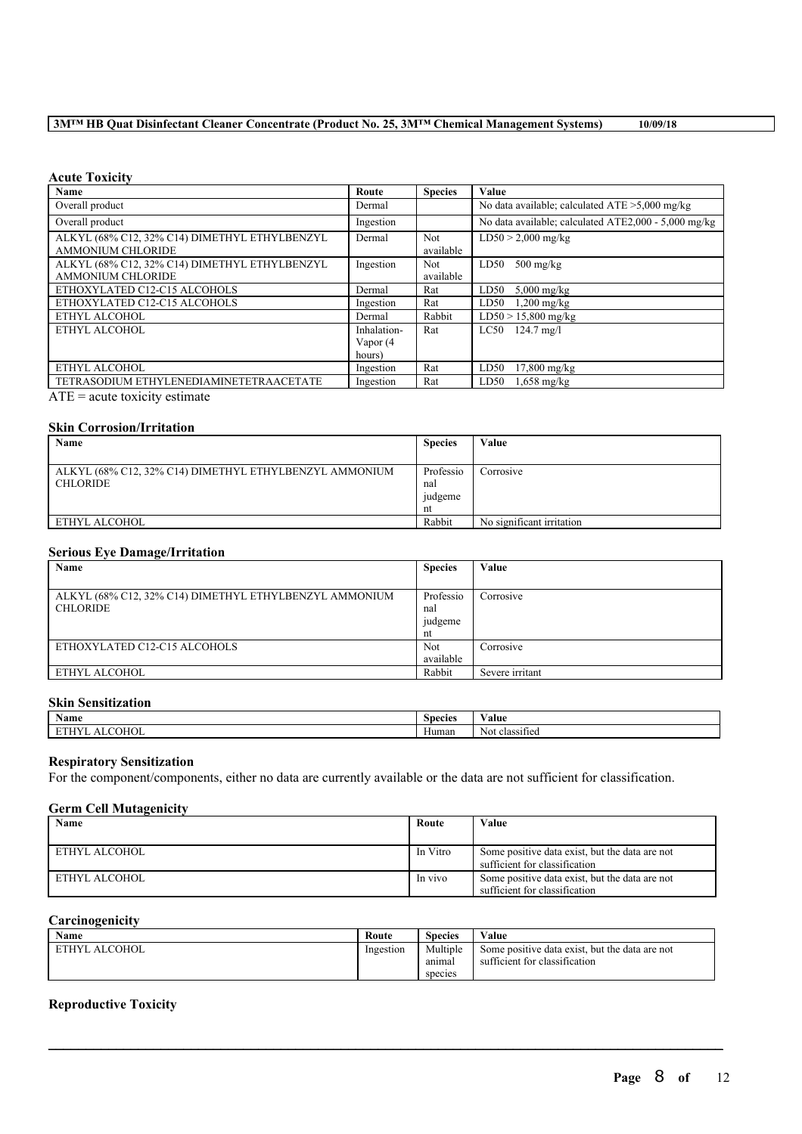# **3M™ HB Quat Disinfectant Cleaner Concentrate (Product No. 25, 3M™ Chemical Management Systems) 10/09/18**

#### **Acute Toxicity**

| Name                                          | Route       | <b>Species</b> | Value                                                |
|-----------------------------------------------|-------------|----------------|------------------------------------------------------|
| Overall product                               | Dermal      |                | No data available; calculated $ATE > 5,000$ mg/kg    |
| Overall product                               | Ingestion   |                | No data available; calculated ATE2,000 - 5,000 mg/kg |
| ALKYL (68% C12, 32% C14) DIMETHYL ETHYLBENZYL | Dermal      | <b>Not</b>     | $LD50 > 2,000$ mg/kg                                 |
| <b>AMMONIUM CHLORIDE</b>                      |             | available      |                                                      |
| ALKYL (68% C12, 32% C14) DIMETHYL ETHYLBENZYL | Ingestion   | Not.           | $500$ mg/kg<br>LD50                                  |
| <b>AMMONIUM CHLORIDE</b>                      |             | available      |                                                      |
| ETHOXYLATED C12-C15 ALCOHOLS                  | Dermal      | Rat            | LD50<br>$5,000$ mg/kg                                |
| ETHOXYLATED C12-C15 ALCOHOLS                  | Ingestion   | Rat            | $1,200$ mg/kg<br>LD50                                |
| ETHYL ALCOHOL                                 | Dermal      | Rabbit         | $LD50 > 15,800$ mg/kg                                |
| ETHYL ALCOHOL                                 | Inhalation- | Rat            | $LC50$ 124.7 mg/l                                    |
|                                               | Vapor (4    |                |                                                      |
|                                               | hours)      |                |                                                      |
| ETHYL ALCOHOL                                 | Ingestion   | Rat            | LD50<br>$17,800$ mg/kg                               |
| TETRASODIUM ETHYLENEDIAMINETETRAACETATE       | Ingestion   | Rat            | $1,658$ mg/kg<br>LD50                                |
| $\blacksquare$                                |             |                |                                                      |

 $ATE = acute$  toxicity estimate

#### **Skin Corrosion/Irritation**

| Name                                                   | <b>Species</b> | Value                     |
|--------------------------------------------------------|----------------|---------------------------|
|                                                        |                |                           |
| ALKYL (68% C12, 32% C14) DIMETHYL ETHYLBENZYL AMMONIUM | Professio      | Corrosive                 |
| <b>CHLORIDE</b>                                        | nal            |                           |
|                                                        | judgeme        |                           |
|                                                        | nt             |                           |
| ETHYL ALCOHOL                                          | Rabbit         | No significant irritation |

## **Serious Eye Damage/Irritation**

| Name                                                                      | <b>Species</b>                    | Value           |
|---------------------------------------------------------------------------|-----------------------------------|-----------------|
| ALKYL (68% C12, 32% C14) DIMETHYL ETHYLBENZYL AMMONIUM<br><b>CHLORIDE</b> | Professio<br>nal<br>judgeme<br>nt | Corrosive       |
| ETHOXYLATED C12-C15 ALCOHOLS                                              | <b>Not</b><br>available           | Corrosive       |
| ETHYL ALCOHOL                                                             | Rabbit                            | Severe irritant |

#### **Skin Sensitization**

| $\rightarrow$<br>Name | <b>Species</b> | 'alue                                   |
|-----------------------|----------------|-----------------------------------------|
| COHOL<br>л            | Human          | <b>CONTRACTOR</b><br>Not.<br>classified |

#### **Respiratory Sensitization**

For the component/components, either no data are currently available or the data are not sufficient for classification.

#### **Germ Cell Mutagenicity**

| Name          | Route    | Value                                                                           |
|---------------|----------|---------------------------------------------------------------------------------|
| ETHYL ALCOHOL | In Vitro | Some positive data exist, but the data are not<br>sufficient for classification |
| ETHYL ALCOHOL | In vivo  | Some positive data exist, but the data are not<br>sufficient for classification |

# **Carcinogenicity**

| <b>Name</b>   | Route     | <b>Species</b>                | Value                                                                           |
|---------------|-----------|-------------------------------|---------------------------------------------------------------------------------|
| ETHYL ALCOHOL | Ingestion | Multiple<br>anımaı<br>species | Some positive data exist, but the data are not<br>sufficient for classification |

 $\mathcal{L}_\mathcal{L} = \mathcal{L}_\mathcal{L} = \mathcal{L}_\mathcal{L} = \mathcal{L}_\mathcal{L} = \mathcal{L}_\mathcal{L} = \mathcal{L}_\mathcal{L} = \mathcal{L}_\mathcal{L} = \mathcal{L}_\mathcal{L} = \mathcal{L}_\mathcal{L} = \mathcal{L}_\mathcal{L} = \mathcal{L}_\mathcal{L} = \mathcal{L}_\mathcal{L} = \mathcal{L}_\mathcal{L} = \mathcal{L}_\mathcal{L} = \mathcal{L}_\mathcal{L} = \mathcal{L}_\mathcal{L} = \mathcal{L}_\mathcal{L}$ 

# **Reproductive Toxicity**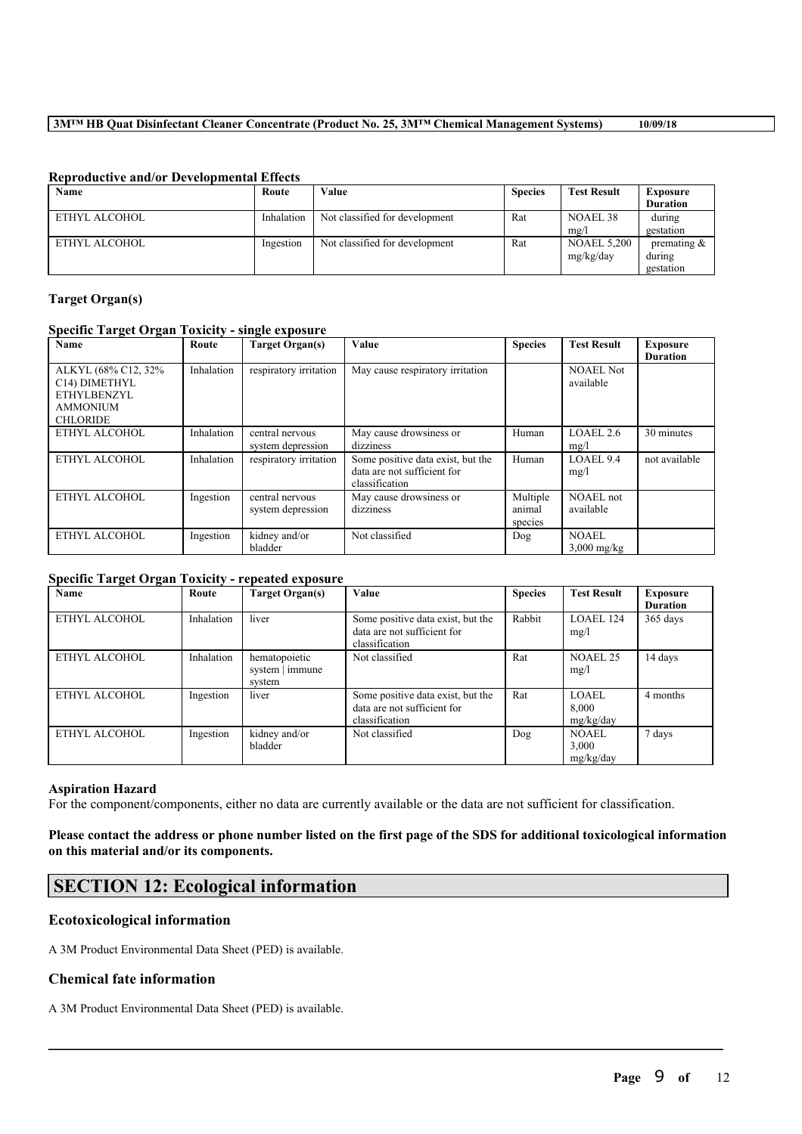## **3M™ HB Quat Disinfectant Cleaner Concentrate (Product No. 25, 3M™ Chemical Management Systems) 10/09/18**

| Name          | Route      | Value                          | <b>Species</b> | <b>Test Result</b> | Exposure        |
|---------------|------------|--------------------------------|----------------|--------------------|-----------------|
|               |            |                                |                |                    | <b>Duration</b> |
| ETHYL ALCOHOL | Inhalation | Not classified for development | Rat            | NOAEL 38           | during          |
|               |            |                                |                | mg/                | gestation       |
| ETHYL ALCOHOL | Ingestion  | Not classified for development | Rat            | <b>NOAEL 5.200</b> | premating $\&$  |
|               |            |                                |                | mg/kg/day          | during          |
|               |            |                                |                |                    | gestation       |

# **Reproductive and/or Developmental Effects**

## **Target Organ(s)**

# **Specific Target Organ Toxicity - single exposure**

| Name                                                                                      | Route      | Target Organ(s)                      | Value                                                                              | <b>Species</b>                | <b>Test Result</b>            | <b>Exposure</b><br><b>Duration</b> |
|-------------------------------------------------------------------------------------------|------------|--------------------------------------|------------------------------------------------------------------------------------|-------------------------------|-------------------------------|------------------------------------|
| ALKYL (68% C12, 32%<br>C14) DIMETHYL<br>ETHYLBENZYL<br><b>AMMONIUM</b><br><b>CHLORIDE</b> | Inhalation | respiratory irritation               | May cause respiratory irritation                                                   |                               | <b>NOAEL Not</b><br>available |                                    |
| ETHYL ALCOHOL                                                                             | Inhalation | central nervous<br>system depression | May cause drowsiness or<br>dizziness                                               | Human                         | LOAEL 2.6<br>mg/l             | 30 minutes                         |
| ETHYL ALCOHOL                                                                             | Inhalation | respiratory irritation               | Some positive data exist, but the<br>data are not sufficient for<br>classification | Human                         | LOAEL 9.4<br>mg/l             | not available                      |
| ETHYL ALCOHOL                                                                             | Ingestion  | central nervous<br>system depression | May cause drowsiness or<br>dizziness                                               | Multiple<br>animal<br>species | NOAEL not<br>available        |                                    |
| ETHYL ALCOHOL                                                                             | Ingestion  | kidney and/or<br>bladder             | Not classified                                                                     | Dog                           | NOAEL<br>$3,000$ mg/kg        |                                    |

#### **Specific Target Organ Toxicity - repeated exposure**

| Name          | Route      | Target Organ(s)                            | Value                                                                              | <b>Species</b> | <b>Test Result</b>                 | <b>Exposure</b><br><b>Duration</b> |
|---------------|------------|--------------------------------------------|------------------------------------------------------------------------------------|----------------|------------------------------------|------------------------------------|
| ETHYL ALCOHOL | Inhalation | liver                                      | Some positive data exist, but the<br>data are not sufficient for<br>classification | Rabbit         | LOAEL 124<br>mg/l                  | 365 days                           |
| ETHYL ALCOHOL | Inhalation | hematopoietic<br>system   immune<br>system | Not classified                                                                     | Rat            | NOAEL 25<br>mg/l                   | 14 days                            |
| ETHYL ALCOHOL | Ingestion  | liver                                      | Some positive data exist, but the<br>data are not sufficient for<br>classification | Rat            | LOAEL<br>8.000<br>mg/kg/day        | 4 months                           |
| ETHYL ALCOHOL | Ingestion  | kidney and/or<br>bladder                   | Not classified                                                                     | Dog            | <b>NOAEL</b><br>3,000<br>mg/kg/day | 7 days                             |

#### **Aspiration Hazard**

For the component/components, either no data are currently available or the data are not sufficient for classification.

#### Please contact the address or phone number listed on the first page of the SDS for additional toxicological information **on this material and/or its components.**

 $\mathcal{L}_\mathcal{L} = \mathcal{L}_\mathcal{L} = \mathcal{L}_\mathcal{L} = \mathcal{L}_\mathcal{L} = \mathcal{L}_\mathcal{L} = \mathcal{L}_\mathcal{L} = \mathcal{L}_\mathcal{L} = \mathcal{L}_\mathcal{L} = \mathcal{L}_\mathcal{L} = \mathcal{L}_\mathcal{L} = \mathcal{L}_\mathcal{L} = \mathcal{L}_\mathcal{L} = \mathcal{L}_\mathcal{L} = \mathcal{L}_\mathcal{L} = \mathcal{L}_\mathcal{L} = \mathcal{L}_\mathcal{L} = \mathcal{L}_\mathcal{L}$ 

# **SECTION 12: Ecological information**

# **Ecotoxicological information**

A 3M Product Environmental Data Sheet (PED) is available.

## **Chemical fate information**

A 3M Product Environmental Data Sheet (PED) is available.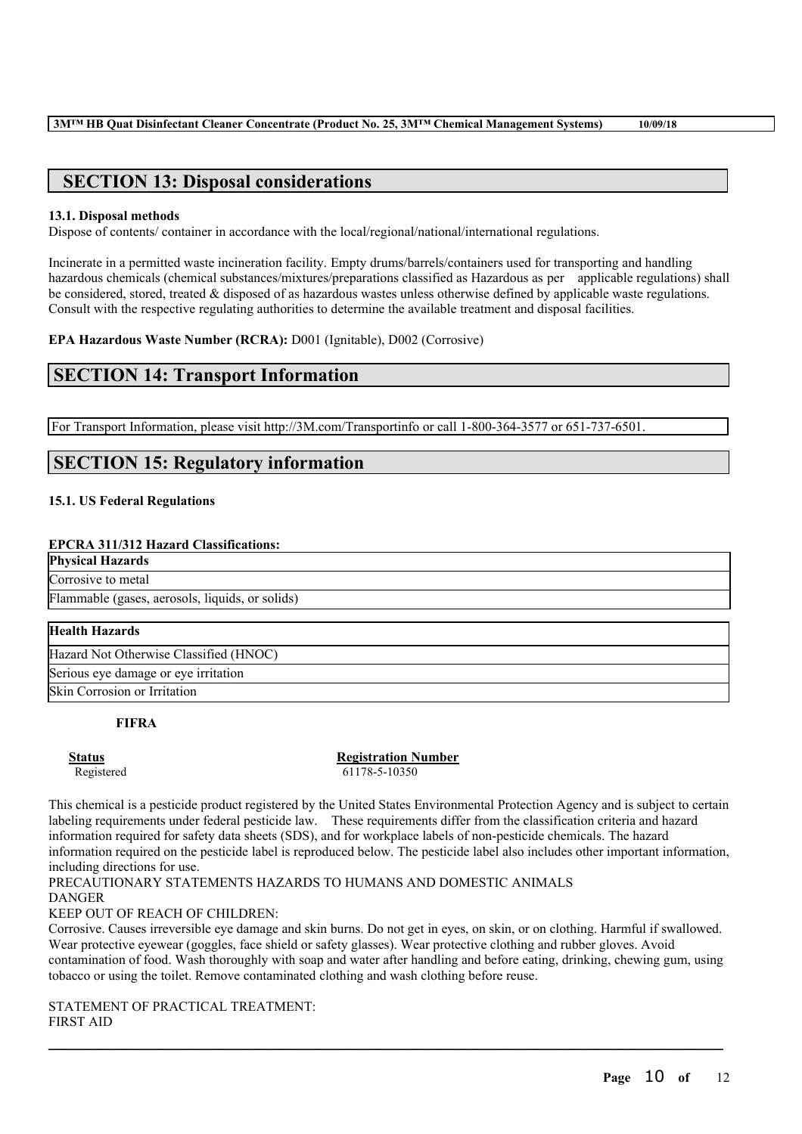# **SECTION 13: Disposal considerations**

#### **13.1. Disposal methods**

Dispose of contents/ container in accordance with the local/regional/national/international regulations.

Incinerate in a permitted waste incineration facility. Empty drums/barrels/containers used for transporting and handling hazardous chemicals (chemical substances/mixtures/preparations classified as Hazardous as per applicable regulations) shall be considered, stored, treated & disposed of as hazardous wastes unless otherwise defined by applicable waste regulations. Consult with the respective regulating authorities to determine the available treatment and disposal facilities.

**EPA Hazardous Waste Number (RCRA):** D001 (Ignitable), D002 (Corrosive)

# **SECTION 14: Transport Information**

For Transport Information, please visit http://3M.com/Transportinfo or call 1-800-364-3577 or 651-737-6501.

# **SECTION 15: Regulatory information**

## **15.1. US Federal Regulations**

#### **EPCRA 311/312 Hazard Classifications:**

**Physical Hazards** Corrosive to metal

Flammable (gases, aerosols, liquids, or solids)

#### **Health Hazards**

Hazard Not Otherwise Classified (HNOC)

Serious eye damage or eye irritation

Skin Corrosion or Irritation

## **FIFRA**

**Status Registration Number** Registered 61178-5-10350

This chemical is a pesticide product registered by the United States Environmental Protection Agency and is subject to certain labeling requirements under federal pesticide law. These requirements differ from the classification criteria and hazard information required for safety data sheets (SDS), and for workplace labels of non-pesticide chemicals. The hazard information required on the pesticide label is reproduced below. The pesticide label also includes other important information, including directions for use.

PRECAUTIONARY STATEMENTS HAZARDS TO HUMANS AND DOMESTIC ANIMALS **DANGER** 

KEEP OUT OF REACH OF CHILDREN:

Corrosive. Causes irreversible eye damage and skin burns. Do not get in eyes, on skin, or on clothing. Harmful if swallowed. Wear protective eyewear (goggles, face shield or safety glasses). Wear protective clothing and rubber gloves. Avoid contamination of food. Wash thoroughly with soap and water after handling and before eating, drinking, chewing gum, using tobacco or using the toilet. Remove contaminated clothing and wash clothing before reuse.

 $\mathcal{L}_\mathcal{L} = \mathcal{L}_\mathcal{L} = \mathcal{L}_\mathcal{L} = \mathcal{L}_\mathcal{L} = \mathcal{L}_\mathcal{L} = \mathcal{L}_\mathcal{L} = \mathcal{L}_\mathcal{L} = \mathcal{L}_\mathcal{L} = \mathcal{L}_\mathcal{L} = \mathcal{L}_\mathcal{L} = \mathcal{L}_\mathcal{L} = \mathcal{L}_\mathcal{L} = \mathcal{L}_\mathcal{L} = \mathcal{L}_\mathcal{L} = \mathcal{L}_\mathcal{L} = \mathcal{L}_\mathcal{L} = \mathcal{L}_\mathcal{L}$ 

STATEMENT OF PRACTICAL TREATMENT: FIRST AID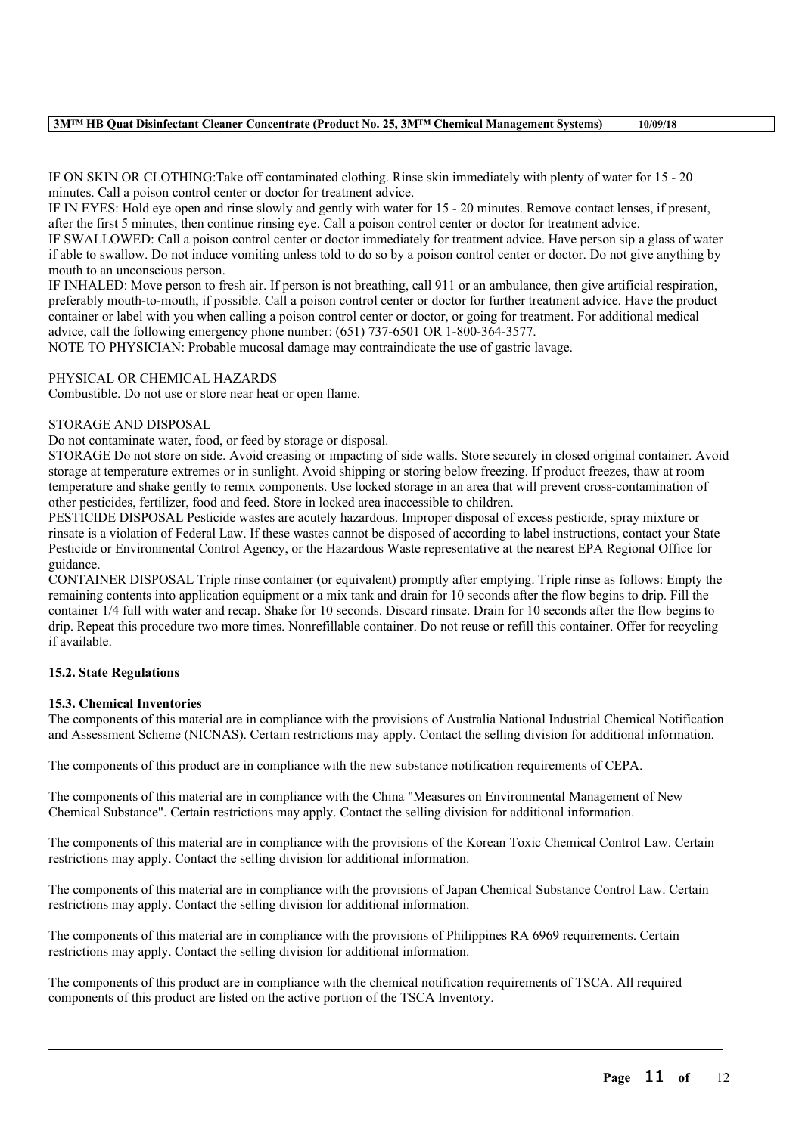#### **3M™ HB Quat Disinfectant Cleaner Concentrate (Product No. 25, 3M™ Chemical Management Systems) 10/09/18**

IF ON SKIN OR CLOTHING:Take off contaminated clothing. Rinse skin immediately with plenty of water for 15 - 20 minutes. Call a poison control center or doctor for treatment advice.

IF IN EYES: Hold eye open and rinse slowly and gently with water for 15 - 20 minutes. Remove contact lenses, if present, after the first 5 minutes, then continue rinsing eye. Call a poison control center or doctor for treatment advice.

IF SWALLOWED: Call a poison control center or doctor immediately for treatment advice. Have person sip a glass of water if able to swallow. Do not induce vomiting unless told to do so by a poison control center or doctor. Do not give anything by mouth to an unconscious person.

IF INHALED: Move person to fresh air. If person is not breathing, call 911 or an ambulance, then give artificial respiration, preferably mouth-to-mouth, if possible. Call a poison control center or doctor for further treatment advice. Have the product container or label with you when calling a poison control center or doctor, or going for treatment. For additional medical advice, call the following emergency phone number: (651) 737-6501 OR 1-800-364-3577.

NOTE TO PHYSICIAN: Probable mucosal damage may contraindicate the use of gastric lavage.

## PHYSICAL OR CHEMICAL HAZARDS

Combustible. Do not use or store near heat or open flame.

#### STORAGE AND DISPOSAL

Do not contaminate water, food, or feed by storage or disposal.

STORAGE Do not store on side. Avoid creasing or impacting of side walls. Store securely in closed original container. Avoid storage at temperature extremes or in sunlight. Avoid shipping or storing below freezing. If product freezes, thaw at room temperature and shake gently to remix components. Use locked storage in an area that will prevent cross-contamination of other pesticides, fertilizer, food and feed. Store in locked area inaccessible to children.

PESTICIDE DISPOSAL Pesticide wastes are acutely hazardous. Improper disposal of excess pesticide, spray mixture or rinsate is a violation of Federal Law. If these wastes cannot be disposed of according to label instructions, contact your State Pesticide or Environmental Control Agency, or the Hazardous Waste representative at the nearest EPA Regional Office for guidance.

CONTAINER DISPOSAL Triple rinse container (or equivalent) promptly after emptying. Triple rinse as follows: Empty the remaining contents into application equipment or a mix tank and drain for 10 seconds after the flow begins to drip. Fill the container 1/4 full with water and recap. Shake for 10 seconds. Discard rinsate. Drain for 10 seconds after the flow begins to drip. Repeat this procedure two more times. Nonrefillable container. Do not reuse or refill this container. Offer for recycling if available.

# **15.2. State Regulations**

#### **15.3. Chemical Inventories**

The components of this material are in compliance with the provisions of Australia National Industrial Chemical Notification and Assessment Scheme (NICNAS). Certain restrictions may apply. Contact the selling division for additional information.

The components of this product are in compliance with the new substance notification requirements of CEPA.

The components of this material are in compliance with the China "Measures on Environmental Management of New Chemical Substance". Certain restrictions may apply. Contact the selling division for additional information.

The components of this material are in compliance with the provisions of the Korean Toxic Chemical Control Law. Certain restrictions may apply. Contact the selling division for additional information.

The components of this material are in compliance with the provisions of Japan Chemical Substance Control Law. Certain restrictions may apply. Contact the selling division for additional information.

The components of this material are in compliance with the provisions of Philippines RA 6969 requirements. Certain restrictions may apply. Contact the selling division for additional information.

The components of this product are in compliance with the chemical notification requirements of TSCA. All required components of this product are listed on the active portion of the TSCA Inventory.

 $\mathcal{L}_\mathcal{L} = \mathcal{L}_\mathcal{L} = \mathcal{L}_\mathcal{L} = \mathcal{L}_\mathcal{L} = \mathcal{L}_\mathcal{L} = \mathcal{L}_\mathcal{L} = \mathcal{L}_\mathcal{L} = \mathcal{L}_\mathcal{L} = \mathcal{L}_\mathcal{L} = \mathcal{L}_\mathcal{L} = \mathcal{L}_\mathcal{L} = \mathcal{L}_\mathcal{L} = \mathcal{L}_\mathcal{L} = \mathcal{L}_\mathcal{L} = \mathcal{L}_\mathcal{L} = \mathcal{L}_\mathcal{L} = \mathcal{L}_\mathcal{L}$